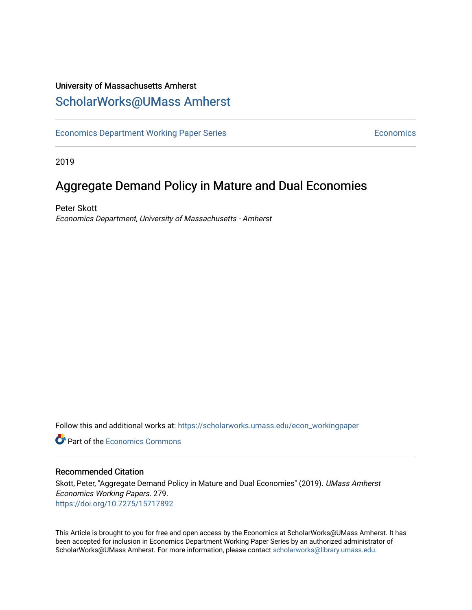# University of Massachusetts Amherst [ScholarWorks@UMass Amherst](https://scholarworks.umass.edu/)

[Economics Department Working Paper Series](https://scholarworks.umass.edu/econ_workingpaper) **Economics** Economics

2019

# Aggregate Demand Policy in Mature and Dual Economies

Peter Skott Economics Department, University of Massachusetts - Amherst

Follow this and additional works at: [https://scholarworks.umass.edu/econ\\_workingpaper](https://scholarworks.umass.edu/econ_workingpaper?utm_source=scholarworks.umass.edu%2Fecon_workingpaper%2F279&utm_medium=PDF&utm_campaign=PDFCoverPages) 

**C** Part of the [Economics Commons](http://network.bepress.com/hgg/discipline/340?utm_source=scholarworks.umass.edu%2Fecon_workingpaper%2F279&utm_medium=PDF&utm_campaign=PDFCoverPages)

### Recommended Citation

Skott, Peter, "Aggregate Demand Policy in Mature and Dual Economies" (2019). UMass Amherst Economics Working Papers. 279. <https://doi.org/10.7275/15717892>

This Article is brought to you for free and open access by the Economics at ScholarWorks@UMass Amherst. It has been accepted for inclusion in Economics Department Working Paper Series by an authorized administrator of ScholarWorks@UMass Amherst. For more information, please contact [scholarworks@library.umass.edu.](mailto:scholarworks@library.umass.edu)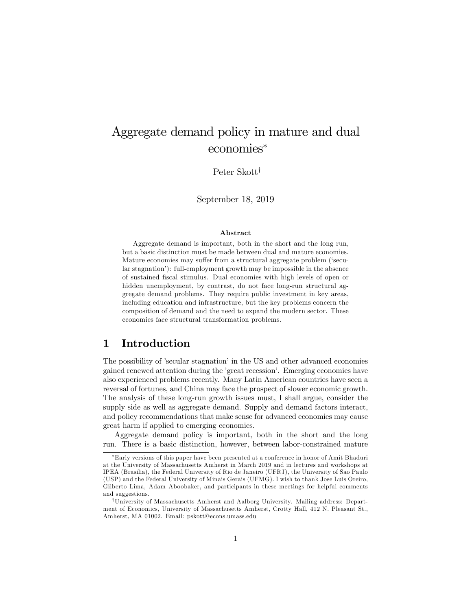# Aggregate demand policy in mature and dual economies

Peter Skott<sup>†</sup>

September 18, 2019

#### Abstract

Aggregate demand is important, both in the short and the long run, but a basic distinction must be made between dual and mature economies. Mature economies may suffer from a structural aggregate problem ('secular stagnation'): full-employment growth may be impossible in the absence of sustained Öscal stimulus. Dual economies with high levels of open or hidden unemployment, by contrast, do not face long-run structural aggregate demand problems. They require public investment in key areas, including education and infrastructure, but the key problems concern the composition of demand and the need to expand the modern sector. These economies face structural transformation problems.

## 1 Introduction

The possibility of 'secular stagnation' in the US and other advanced economies gained renewed attention during the 'great recession'. Emerging economies have also experienced problems recently. Many Latin American countries have seen a reversal of fortunes, and China may face the prospect of slower economic growth. The analysis of these long-run growth issues must, I shall argue, consider the supply side as well as aggregate demand. Supply and demand factors interact, and policy recommendations that make sense for advanced economies may cause great harm if applied to emerging economies.

Aggregate demand policy is important, both in the short and the long run. There is a basic distinction, however, between labor-constrained mature

Early versions of this paper have been presented at a conference in honor of Amit Bhaduri at the University of Massachusetts Amherst in March 2019 and in lectures and workshops at IPEA (Brasilia), the Federal University of Rio de Janeiro (UFRJ), the University of Sao Paulo (USP) and the Federal University of Minais Gerais (UFMG). I wish to thank Jose Luis Oreiro, Gilberto Lima, Adam Aboobaker, and participants in these meetings for helpful comments and suggestions.

<sup>&</sup>lt;sup>†</sup>University of Massachusetts Amherst and Aalborg University. Mailing address: Department of Economics, University of Massachusetts Amherst, Crotty Hall, 412 N. Pleasant St., Amherst, MA 01002. Email: pskott@econs.umass.edu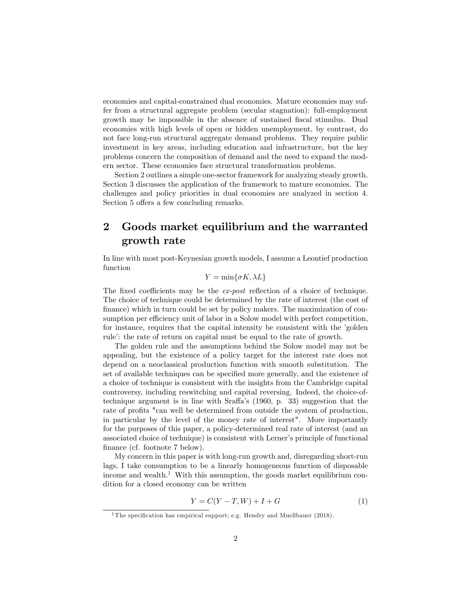economies and capital-constrained dual economies. Mature economies may suffer from a structural aggregate problem (secular stagnation): full-employment growth may be impossible in the absence of sustained Öscal stimulus. Dual economies with high levels of open or hidden unemployment, by contrast, do not face long-run structural aggregate demand problems. They require public investment in key areas, including education and infrastructure, but the key problems concern the composition of demand and the need to expand the modern sector. These economies face structural transformation problems.

Section 2 outlines a simple one-sector framework for analyzing steady growth. Section 3 discusses the application of the framework to mature economies. The challenges and policy priorities in dual economies are analyzed in section 4. Section 5 offers a few concluding remarks.

## 2 Goods market equilibrium and the warranted growth rate

In line with most post-Keynesian growth models, I assume a Leontief production function

$$
Y = \min\{\sigma K, \lambda L\}
$$

The fixed coefficients may be the  $ex\text{-}post$  reflection of a choice of technique. The choice of technique could be determined by the rate of interest (the cost of finance) which in turn could be set by policy makers. The maximization of consumption per efficiency unit of labor in a Solow model with perfect competition, for instance, requires that the capital intensity be consistent with the 'golden rule: the rate of return on capital must be equal to the rate of growth.

The golden rule and the assumptions behind the Solow model may not be appealing, but the existence of a policy target for the interest rate does not depend on a neoclassical production function with smooth substitution. The set of available techniques can be specified more generally, and the existence of a choice of technique is consistent with the insights from the Cambridge capital controversy, including reswitching and capital reversing. Indeed, the choice-oftechnique argument is in line with Sraffa's  $(1960, p. 33)$  suggestion that the rate of profits "can well be determined from outside the system of production, in particular by the level of the money rate of interest". More importantly for the purposes of this paper, a policy-determined real rate of interest (and an associated choice of technique) is consistent with Lerner's principle of functional finance (cf. footnote 7 below).

My concern in this paper is with long-run growth and, disregarding short-run lags, I take consumption to be a linearly homogeneous function of disposable income and wealth.<sup>1</sup> With this assumption, the goods market equilibrium condition for a closed economy can be written

$$
Y = C(Y - T, W) + I + G \tag{1}
$$

<sup>&</sup>lt;sup>1</sup>The specification has empirical support; e.g. Hendry and Muellbauer (2018).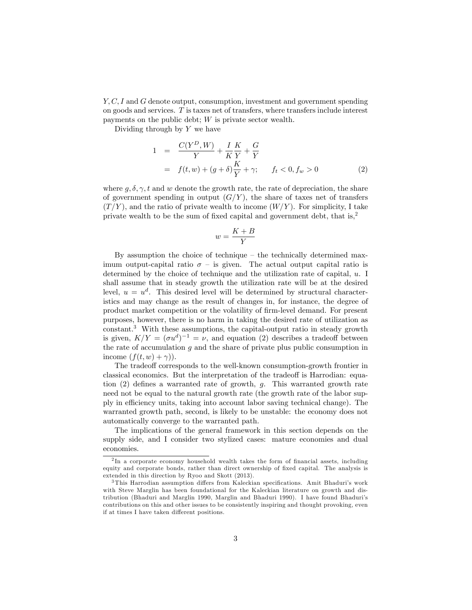Y, C, I and G denote output, consumption, investment and government spending on goods and services. T is taxes net of transfers, where transfers include interest payments on the public debt; W is private sector wealth.

Dividing through by  $Y$  we have

$$
1 = \frac{C(Y^{D}, W)}{Y} + \frac{I}{K} \frac{K}{Y} + \frac{G}{Y}
$$
  
=  $f(t, w) + (g + \delta) \frac{K}{Y} + \gamma$ ;  $f_t < 0, f_w > 0$  (2)

where  $q, \delta, \gamma, t$  and w denote the growth rate, the rate of depreciation, the share of government spending in output  $(G/Y)$ , the share of taxes net of transfers  $(T/Y)$ , and the ratio of private wealth to income  $(W/Y)$ . For simplicity, I take private wealth to be the sum of fixed capital and government debt, that is,<sup>2</sup>

$$
w = \frac{K + B}{Y}
$$

By assumption the choice of technique  $-$  the technically determined maximum output-capital ratio  $\sigma$  – is given. The actual output capital ratio is determined by the choice of technique and the utilization rate of capital, u. I shall assume that in steady growth the utilization rate will be at the desired level,  $u = u<sup>d</sup>$ . This desired level will be determined by structural characteristics and may change as the result of changes in, for instance, the degree of product market competition or the volatility of Örm-level demand. For present purposes, however, there is no harm in taking the desired rate of utilization as constant.<sup>3</sup> With these assumptions, the capital-output ratio in steady growth is given,  $K/Y = (\sigma u^d)^{-1} = \nu$ , and equation (2) describes a tradeoff between the rate of accumulation  $g$  and the share of private plus public consumption in income  $(f(t, w) + \gamma)$ .

The tradeoff corresponds to the well-known consumption-growth frontier in classical economics. But the interpretation of the tradeoff is Harrodian: equation  $(2)$  defines a warranted rate of growth, q. This warranted growth rate need not be equal to the natural growth rate (the growth rate of the labor supply in efficiency units, taking into account labor saving technical change). The warranted growth path, second, is likely to be unstable: the economy does not automatically converge to the warranted path.

The implications of the general framework in this section depends on the supply side, and I consider two stylized cases: mature economies and dual economies.

<sup>&</sup>lt;sup>2</sup>In a corporate economy household wealth takes the form of financial assets, including equity and corporate bonds, rather than direct ownership of fixed capital. The analysis is extended in this direction by Ryoo and Skott (2013).

 $3$ This Harrodian assumption differs from Kaleckian specifications. Amit Bhaduri's work with Steve Marglin has been foundational for the Kaleckian literature on growth and distribution (Bhaduri and Marglin 1990, Marglin and Bhaduri 1990). I have found Bhaduriís contributions on this and other issues to be consistently inspiring and thought provoking, even if at times I have taken different positions.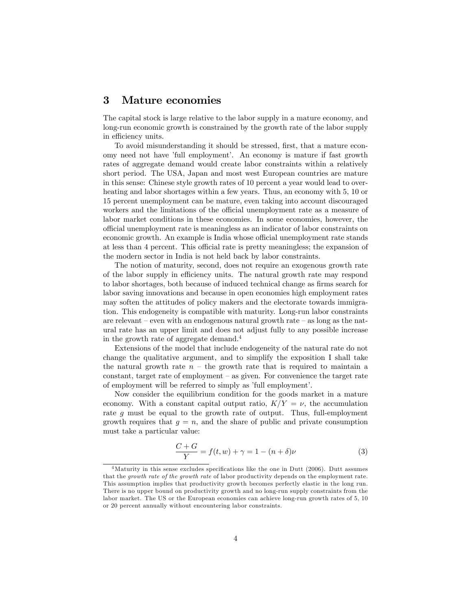## 3 Mature economies

The capital stock is large relative to the labor supply in a mature economy, and long-run economic growth is constrained by the growth rate of the labor supply in efficiency units.

To avoid misunderstanding it should be stressed, first, that a mature economy need not have 'full employment'. An economy is mature if fast growth rates of aggregate demand would create labor constraints within a relatively short period. The USA, Japan and most west European countries are mature in this sense: Chinese style growth rates of 10 percent a year would lead to overheating and labor shortages within a few years. Thus, an economy with 5, 10 or 15 percent unemployment can be mature, even taking into account discouraged workers and the limitations of the official unemployment rate as a measure of labor market conditions in these economies. In some economies, however, the o¢ cial unemployment rate is meaningless as an indicator of labor constraints on economic growth. An example is India whose official unemployment rate stands at less than 4 percent. This official rate is pretty meaningless; the expansion of the modern sector in India is not held back by labor constraints.

The notion of maturity, second, does not require an exogenous growth rate of the labor supply in efficiency units. The natural growth rate may respond to labor shortages, both because of induced technical change as firms search for labor saving innovations and because in open economies high employment rates may soften the attitudes of policy makers and the electorate towards immigration. This endogeneity is compatible with maturity. Long-run labor constraints are relevant  $-\text{ even with an endogenous natural growth rate } - \text{ as long as the nat-}$ ural rate has an upper limit and does not adjust fully to any possible increase in the growth rate of aggregate demand.<sup>4</sup>

Extensions of the model that include endogeneity of the natural rate do not change the qualitative argument, and to simplify the exposition I shall take the natural growth rate  $n -$  the growth rate that is required to maintain a constant, target rate of employment  $-$  as given. For convenience the target rate of employment will be referred to simply as 'full employment'.

Now consider the equilibrium condition for the goods market in a mature economy. With a constant capital output ratio,  $K/Y = \nu$ , the accumulation rate g must be equal to the growth rate of output. Thus, full-employment growth requires that  $g = n$ , and the share of public and private consumption must take a particular value:

$$
\frac{C+G}{Y} = f(t, w) + \gamma = 1 - (n+\delta)\nu
$$
\n(3)

 $4$ Maturity in this sense excludes specifications like the one in Dutt (2006). Dutt assumes that the growth rate of the growth rate of labor productivity depends on the employment rate. This assumption implies that productivity growth becomes perfectly elastic in the long run. There is no upper bound on productivity growth and no long-run supply constraints from the labor market. The US or the European economies can achieve long-run growth rates of 5, 10 or 20 percent annually without encountering labor constraints.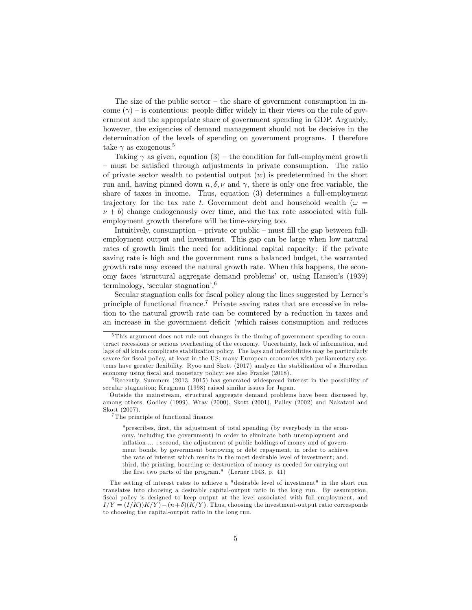The size of the public sector  $-\theta$  the share of government consumption in income  $(\gamma)$  – is contentious: people differ widely in their views on the role of government and the appropriate share of government spending in GDP. Arguably, however, the exigencies of demand management should not be decisive in the determination of the levels of spending on government programs. I therefore take  $\gamma$  as exogenous.<sup>5</sup>

Taking  $\gamma$  as given, equation (3) – the condition for full-employment growth – must be satisfied through adjustments in private consumption. The ratio of private sector wealth to potential output  $(w)$  is predetermined in the short run and, having pinned down  $n, \delta, \nu$  and  $\gamma$ , there is only one free variable, the share of taxes in income. Thus, equation (3) determines a full-employment trajectory for the tax rate t. Government debt and household wealth ( $\omega =$  $\nu + b$ ) change endogenously over time, and the tax rate associated with fullemployment growth therefore will be time-varying too.

Intuitively, consumption  $\overline{\phantom{a}}$  private or public  $\overline{\phantom{a}}$  must fill the gap between fullemployment output and investment. This gap can be large when low natural rates of growth limit the need for additional capital capacity: if the private saving rate is high and the government runs a balanced budget, the warranted growth rate may exceed the natural growth rate. When this happens, the economy faces ëstructural aggregate demand problemsí or, using Hansenís (1939) terminology, 'secular stagnation'.<sup>6</sup>

Secular stagnation calls for fiscal policy along the lines suggested by Lerner's principle of functional finance.<sup>7</sup> Private saving rates that are excessive in relation to the natural growth rate can be countered by a reduction in taxes and an increase in the government deficit (which raises consumption and reduces

 $7$ The principle of functional finance

"prescribes, first, the adjustment of total spending (by everybody in the economy, including the government) in order to eliminate both unemployment and inflation  $\ldots$ ; second, the adjustment of public holdings of money and of government bonds, by government borrowing or debt repayment, in order to achieve the rate of interest which results in the most desirable level of investment; and, third, the printing, hoarding or destruction of money as needed for carrying out the first two parts of the program." (Lerner 1943, p. 41)

The setting of interest rates to achieve a "desirable level of investment" in the short run translates into choosing a desirable capital-output ratio in the long run. By assumption, fiscal policy is designed to keep output at the level associated with full employment, and  $I/Y = (I/K)K/Y - (n+\delta)(K/Y)$ . Thus, choosing the investment-output ratio corresponds to choosing the capital-output ratio in the long run.

<sup>&</sup>lt;sup>5</sup>This argument does not rule out changes in the timing of government spending to counteract recessions or serious overheating of the economy. Uncertainty, lack of information, and lags of all kinds complicate stabilization policy. The lags and inflexibilities may be particularly severe for fiscal policy, at least in the US; many European economies with parliamentary systems have greater áexibility. Ryoo and Skott (2017) analyze the stabilization of a Harrodian economy using fiscal and monetary policy; see also Franke (2018).

 $6$ Recently, Summers (2013, 2015) has generated widespread interest in the possibility of secular stagnation; Krugman (1998) raised similar issues for Japan.

Outside the mainstream, structural aggregate demand problems have been discussed by, among others, Godley (1999), Wray (2000), Skott (2001), Palley (2002) and Nakatani and Skott (2007).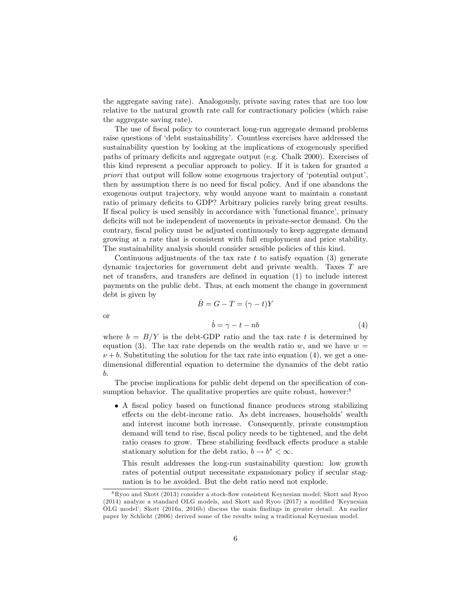the aggregate saving rate). Analogously, private saving rates that are too low relative to the natural growth rate call for contractionary policies (which raise the aggregate saving rate).

The use of fiscal policy to counteract long-run aggregate demand problems raise questions of 'debt sustainability'. Countless exercises have addressed the sustainability question by looking at the implications of exogenously specified paths of primary deficits and aggregate output (e.g. Chalk 2000). Exercises of this kind represent a peculiar approach to policy. If it is taken for granted a priori that output will follow some exogenous trajectory of 'potential output', then by assumption there is no need for fiscal policy. And if one abandons the exogenous output trajectory, why would anyone want to maintain a constant ratio of primary deficits to GDP? Arbitrary policies rarely bring great results. If fiscal policy is used sensibly in accordance with *'functional finance'*, primary deficits will not be independent of movements in private-sector demand. On the contrary, fiscal policy must be adjusted continuously to keep aggregate demand growing at a rate that is consistent with full employment and price stability. The sustainability analysis should consider sensible policies of this kind.

Continuous adjustments of the tax rate t to satisfy equation  $(3)$  generate dynamic trajectories for government debt and private wealth. Taxes T are net of transfers, and transfers are defined in equation (1) to include interest payments on the public debt. Thus, at each moment the change in government debt is given by

$$
\dot{B} = G - T = (\gamma - t)Y
$$

$$
\dot{b} = \gamma - t - nb
$$
(4)

or

where  $b = B/Y$  is the debt-GDP ratio and the tax rate t is determined by equation (3). The tax rate depends on the wealth ratio w, and we have  $w =$  $\nu + b$ . Substituting the solution for the tax rate into equation (4), we get a onedimensional differential equation to determine the dynamics of the debt ratio b.

The precise implications for public debt depend on the specification of consumption behavior. The qualitative properties are quite robust, however:<sup>8</sup>

• A fiscal policy based on functional finance produces strong stabilizing effects on the debt-income ratio. As debt increases, households' wealth and interest income both increase. Consequently, private consumption demand will tend to rise, fiscal policy needs to be tightened, and the debt ratio ceases to grow. These stabilizing feedback effects produce a stable stationary solution for the debt ratio,  $b \to b^* < \infty$ .

This result addresses the long-run sustainability question: low growth rates of potential output necessitate expansionary policy if secular stagnation is to be avoided. But the debt ratio need not explode.

<sup>8</sup>Ryoo and Skott (2013) consider a stock-áow consistent Keynesian model; Skott and Ryoo  $(2014)$  analyze a standard OLG models, and Skott and Ryoo  $(2017)$  a modified *Keynesian* OLG modelí; Skott (2016a, 2016b) discuss the main Öndings in greater detail. An earlier paper by Schlicht (2006) derived some of the results using a traditional Keynesian model.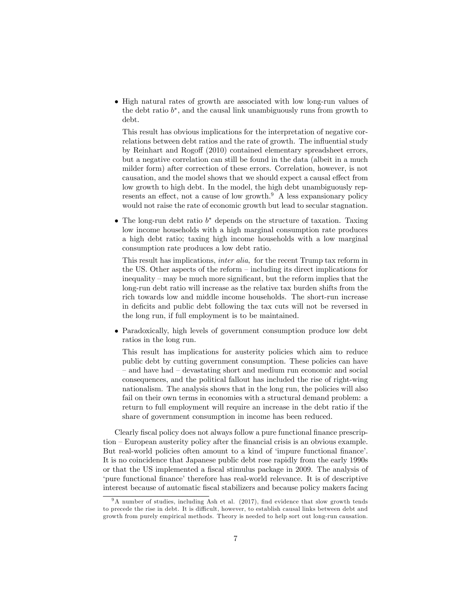• High natural rates of growth are associated with low long-run values of the debt ratio  $b^*$ , and the causal link unambiguously runs from growth to debt.

This result has obvious implications for the interpretation of negative correlations between debt ratios and the rate of growth. The influential study by Reinhart and Rogoff (2010) contained elementary spreadsheet errors, but a negative correlation can still be found in the data (albeit in a much milder form) after correction of these errors. Correlation, however, is not causation, and the model shows that we should expect a causal effect from low growth to high debt. In the model, the high debt unambiguously represents an effect, not a cause of low growth. $9$  A less expansionary policy would not raise the rate of economic growth but lead to secular stagnation.

 $\bullet$  The long-run debt ratio  $b^*$  depends on the structure of taxation. Taxing low income households with a high marginal consumption rate produces a high debt ratio; taxing high income households with a low marginal consumption rate produces a low debt ratio.

This result has implications, inter alia, for the recent Trump tax reform in the US. Other aspects of the reform  $\overline{\phantom{a}}$  including its direct implications for  $inequality - may be much more significant, but the reform implies that the$ long-run debt ratio will increase as the relative tax burden shifts from the rich towards low and middle income households. The short-run increase in deficits and public debt following the tax cuts will not be reversed in the long run, if full employment is to be maintained.

 Paradoxically, high levels of government consumption produce low debt ratios in the long run.

This result has implications for austerity policies which aim to reduce public debt by cutting government consumption. These policies can have – and have had – devastating short and medium run economic and social consequences, and the political fallout has included the rise of right-wing nationalism. The analysis shows that in the long run, the policies will also fail on their own terms in economies with a structural demand problem: a return to full employment will require an increase in the debt ratio if the share of government consumption in income has been reduced.

Clearly fiscal policy does not always follow a pure functional finance prescrip- $\tau$  tion  $\sim$  European austerity policy after the financial crisis is an obvious example. But real-world policies often amount to a kind of 'impure functional finance'. It is no coincidence that Japanese public debt rose rapidly from the early 1990s or that the US implemented a fiscal stimulus package in 2009. The analysis of 'pure functional finance' therefore has real-world relevance. It is of descriptive interest because of automatic Öscal stabilizers and because policy makers facing

 $9A$  number of studies, including Ash et al. (2017), find evidence that slow growth tends to precede the rise in debt. It is difficult, however, to establish causal links between debt and growth from purely empirical methods. Theory is needed to help sort out long-run causation.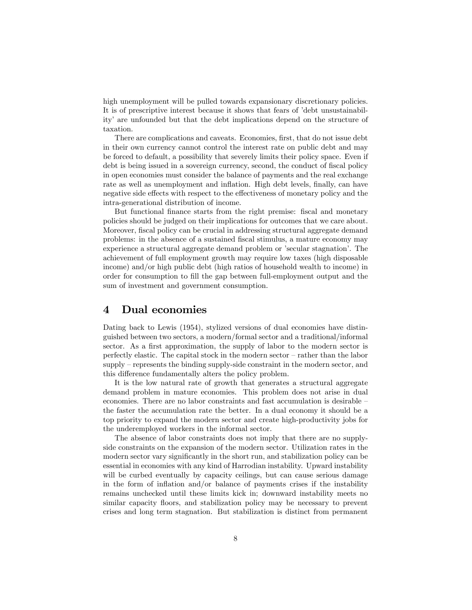high unemployment will be pulled towards expansionary discretionary policies. It is of prescriptive interest because it shows that fears of 'debt unsustainabilityí are unfounded but that the debt implications depend on the structure of taxation.

There are complications and caveats. Economies, first, that do not issue debt in their own currency cannot control the interest rate on public debt and may be forced to default, a possibility that severely limits their policy space. Even if debt is being issued in a sovereign currency, second, the conduct of fiscal policy in open economies must consider the balance of payments and the real exchange rate as well as unemployment and inflation. High debt levels, finally, can have negative side effects with respect to the effectiveness of monetary policy and the intra-generational distribution of income.

But functional finance starts from the right premise: fiscal and monetary policies should be judged on their implications for outcomes that we care about. Moreover, fiscal policy can be crucial in addressing structural aggregate demand problems: in the absence of a sustained Öscal stimulus, a mature economy may experience a structural aggregate demand problem or 'secular stagnation'. The achievement of full employment growth may require low taxes (high disposable income) and/or high public debt (high ratios of household wealth to income) in order for consumption to Öll the gap between full-employment output and the sum of investment and government consumption.

## 4 Dual economies

Dating back to Lewis (1954), stylized versions of dual economies have distinguished between two sectors, a modern/formal sector and a traditional/informal sector. As a first approximation, the supply of labor to the modern sector is perfectly elastic. The capital stock in the modern sector  $-\tau$  rather than the labor  $\text{supply}-\text{represents the binding supply-side constraint in the modern sector, and}$ this difference fundamentally alters the policy problem.

It is the low natural rate of growth that generates a structural aggregate demand problem in mature economies. This problem does not arise in dual economies. There are no labor constraints and fast accumulation is desirable  $$ the faster the accumulation rate the better. In a dual economy it should be a top priority to expand the modern sector and create high-productivity jobs for the underemployed workers in the informal sector.

The absence of labor constraints does not imply that there are no supplyside constraints on the expansion of the modern sector. Utilization rates in the modern sector vary significantly in the short run, and stabilization policy can be essential in economies with any kind of Harrodian instability. Upward instability will be curbed eventually by capacity ceilings, but can cause serious damage in the form of ináation and/or balance of payments crises if the instability remains unchecked until these limits kick in; downward instability meets no similar capacity floors, and stabilization policy may be necessary to prevent crises and long term stagnation. But stabilization is distinct from permanent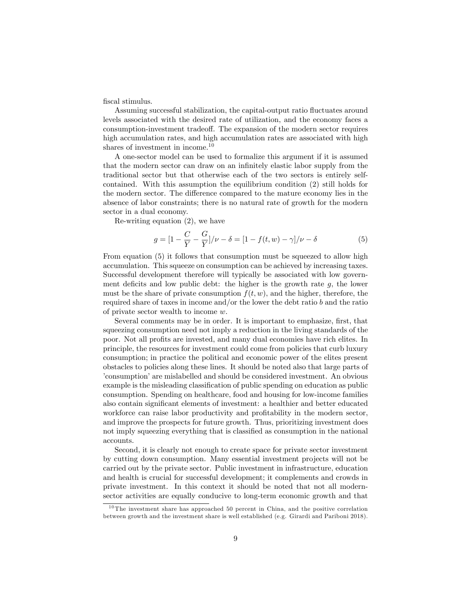fiscal stimulus.

Assuming successful stabilization, the capital-output ratio fluctuates around levels associated with the desired rate of utilization, and the economy faces a consumption-investment tradeoff. The expansion of the modern sector requires high accumulation rates, and high accumulation rates are associated with high shares of investment in income. $10$ 

A one-sector model can be used to formalize this argument if it is assumed that the modern sector can draw on an infinitely elastic labor supply from the traditional sector but that otherwise each of the two sectors is entirely selfcontained. With this assumption the equilibrium condition  $(2)$  still holds for the modern sector. The difference compared to the mature economy lies in the absence of labor constraints; there is no natural rate of growth for the modern sector in a dual economy.

Re-writing equation  $(2)$ , we have

$$
g = [1 - \frac{C}{Y} - \frac{G}{Y}] / \nu - \delta = [1 - f(t, w) - \gamma] / \nu - \delta
$$
 (5)

From equation (5) it follows that consumption must be squeezed to allow high accumulation. This squeeze on consumption can be achieved by increasing taxes. Successful development therefore will typically be associated with low government deficits and low public debt: the higher is the growth rate  $g$ , the lower must be the share of private consumption  $f(t, w)$ , and the higher, therefore, the required share of taxes in income and/or the lower the debt ratio  $b$  and the ratio of private sector wealth to income  $w$ .

Several comments may be in order. It is important to emphasize, first, that squeezing consumption need not imply a reduction in the living standards of the poor. Not all profits are invested, and many dual economies have rich elites. In principle, the resources for investment could come from policies that curb luxury consumption; in practice the political and economic power of the elites present obstacles to policies along these lines. It should be noted also that large parts of consumption' are mislabelled and should be considered investment. An obvious example is the misleading classification of public spending on education as public consumption. Spending on healthcare, food and housing for low-income families also contain significant elements of investment: a healthier and better educated workforce can raise labor productivity and profitability in the modern sector, and improve the prospects for future growth. Thus, prioritizing investment does not imply squeezing everything that is classified as consumption in the national accounts.

Second, it is clearly not enough to create space for private sector investment by cutting down consumption. Many essential investment projects will not be carried out by the private sector. Public investment in infrastructure, education and health is crucial for successful development; it complements and crowds in private investment. In this context it should be noted that not all modernsector activities are equally conducive to long-term economic growth and that

 $10$ The investment share has approached 50 percent in China, and the positive correlation between growth and the investment share is well established (e.g. Girardi and Pariboni 2018).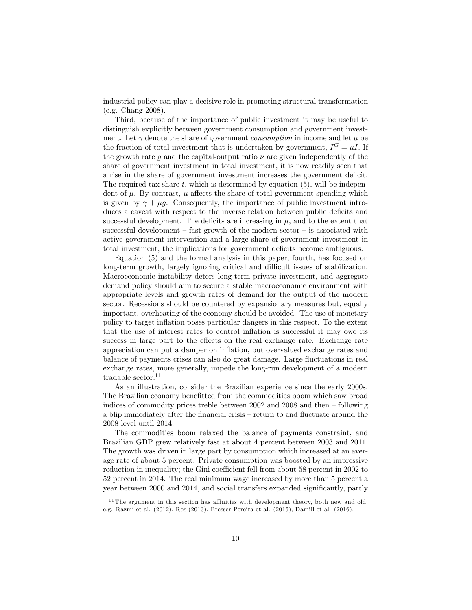industrial policy can play a decisive role in promoting structural transformation (e.g. Chang 2008).

Third, because of the importance of public investment it may be useful to distinguish explicitly between government consumption and government investment. Let  $\gamma$  denote the share of government *consumption* in income and let  $\mu$  be the fraction of total investment that is undertaken by government,  $I^G = \mu I$ . If the growth rate q and the capital-output ratio  $\nu$  are given independently of the share of government investment in total investment, it is now readily seen that a rise in the share of government investment increases the government deficit. The required tax share t, which is determined by equation  $(5)$ , will be independent of  $\mu$ . By contrast,  $\mu$  affects the share of total government spending which is given by  $\gamma + \mu q$ . Consequently, the importance of public investment introduces a caveat with respect to the inverse relation between public deficits and successful development. The deficits are increasing in  $\mu$ , and to the extent that successful development  $-$  fast growth of the modern sector  $-$  is associated with active government intervention and a large share of government investment in total investment, the implications for government deficits become ambiguous.

Equation (5) and the formal analysis in this paper, fourth, has focused on long-term growth, largely ignoring critical and difficult issues of stabilization. Macroeconomic instability deters long-term private investment, and aggregate demand policy should aim to secure a stable macroeconomic environment with appropriate levels and growth rates of demand for the output of the modern sector. Recessions should be countered by expansionary measures but, equally important, overheating of the economy should be avoided. The use of monetary policy to target inflation poses particular dangers in this respect. To the extent that the use of interest rates to control inflation is successful it may owe its success in large part to the effects on the real exchange rate. Exchange rate appreciation can put a damper on ináation, but overvalued exchange rates and balance of payments crises can also do great damage. Large fluctuations in real exchange rates, more generally, impede the long-run development of a modern tradable sector. $11$ 

As an illustration, consider the Brazilian experience since the early 2000s. The Brazilian economy benefitted from the commodities boom which saw broad indices of commodity prices treble between  $2002$  and  $2008$  and then  $-$  following a blip immediately after the financial crisis – return to and fluctuate around the 2008 level until 2014.

The commodities boom relaxed the balance of payments constraint, and Brazilian GDP grew relatively fast at about 4 percent between 2003 and 2011. The growth was driven in large part by consumption which increased at an average rate of about 5 percent. Private consumption was boosted by an impressive reduction in inequality; the Gini coefficient fell from about 58 percent in 2002 to 52 percent in 2014. The real minimum wage increased by more than 5 percent a year between 2000 and 2014, and social transfers expanded significantly, partly

<sup>&</sup>lt;sup>11</sup> The argument in this section has affinities with development theory, both new and old; e.g. Razmi et al. (2012), Ros (2013), Bresser-Pereira et al. (2015), Damill et al. (2016).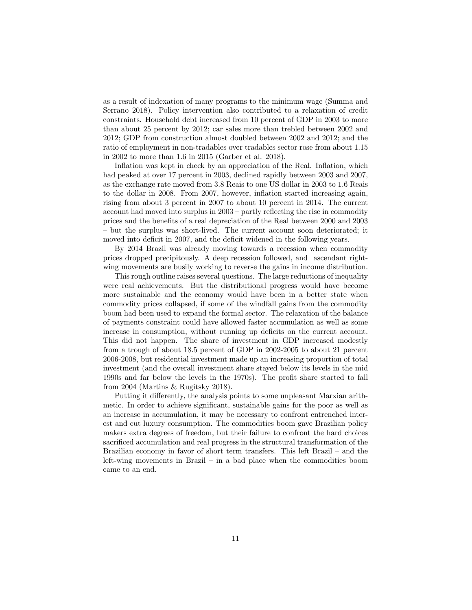as a result of indexation of many programs to the minimum wage (Summa and Serrano 2018). Policy intervention also contributed to a relaxation of credit constraints. Household debt increased from 10 percent of GDP in 2003 to more than about 25 percent by 2012; car sales more than trebled between 2002 and 2012; GDP from construction almost doubled between 2002 and 2012; and the ratio of employment in non-tradables over tradables sector rose from about 1.15 in 2002 to more than 1.6 in 2015 (Garber et al. 2018).

Inflation was kept in check by an appreciation of the Real. Inflation, which had peaked at over 17 percent in 2003, declined rapidly between 2003 and 2007, as the exchange rate moved from 3.8 Reais to one US dollar in 2003 to 1.6 Reais to the dollar in 2008. From 2007, however, inflation started increasing again, rising from about 3 percent in 2007 to about 10 percent in 2014. The current account had moved into surplus in  $2003$  – partly reflecting the rise in commodity prices and the benefits of a real depreciation of the Real between 2000 and 2003  $h$  but the surplus was short-lived. The current account soon deteriorated; it moved into deficit in 2007, and the deficit widened in the following years.

By 2014 Brazil was already moving towards a recession when commodity prices dropped precipitously. A deep recession followed, and ascendant rightwing movements are busily working to reverse the gains in income distribution.

This rough outline raises several questions. The large reductions of inequality were real achievements. But the distributional progress would have become more sustainable and the economy would have been in a better state when commodity prices collapsed, if some of the windfall gains from the commodity boom had been used to expand the formal sector. The relaxation of the balance of payments constraint could have allowed faster accumulation as well as some increase in consumption, without running up deficits on the current account. This did not happen. The share of investment in GDP increased modestly from a trough of about 18.5 percent of GDP in 2002-2005 to about 21 percent 2006-2008, but residential investment made up an increasing proportion of total investment (and the overall investment share stayed below its levels in the mid 1990s and far below the levels in the 1970s). The profit share started to fall from 2004 (Martins & Rugitsky 2018).

Putting it differently, the analysis points to some unpleasant Marxian arithmetic. In order to achieve significant, sustainable gains for the poor as well as an increase in accumulation, it may be necessary to confront entrenched interest and cut luxury consumption. The commodities boom gave Brazilian policy makers extra degrees of freedom, but their failure to confront the hard choices sacrificed accumulation and real progress in the structural transformation of the Brazilian economy in favor of short term transfers. This left Brazil  $-$  and the left-wing movements in Brazil  $-$  in a bad place when the commodities boom came to an end.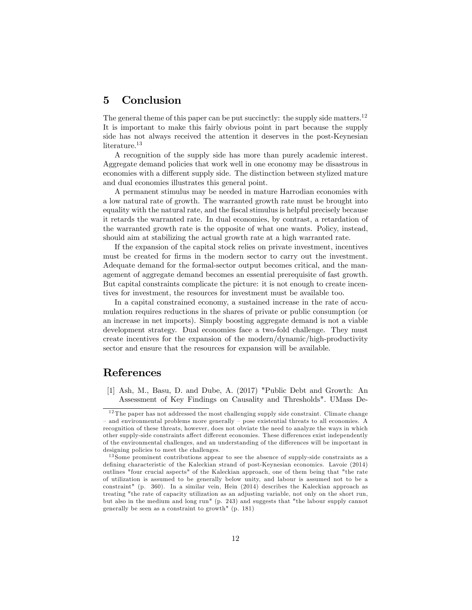## 5 Conclusion

The general theme of this paper can be put succinctly: the supply side matters.<sup>12</sup> It is important to make this fairly obvious point in part because the supply side has not always received the attention it deserves in the post-Keynesian literature.<sup>13</sup>

A recognition of the supply side has more than purely academic interest. Aggregate demand policies that work well in one economy may be disastrous in economies with a different supply side. The distinction between stylized mature and dual economies illustrates this general point.

A permanent stimulus may be needed in mature Harrodian economies with a low natural rate of growth. The warranted growth rate must be brought into equality with the natural rate, and the fiscal stimulus is helpful precisely because it retards the warranted rate. In dual economies, by contrast, a retardation of the warranted growth rate is the opposite of what one wants. Policy, instead, should aim at stabilizing the actual growth rate at a high warranted rate.

If the expansion of the capital stock relies on private investment, incentives must be created for firms in the modern sector to carry out the investment. Adequate demand for the formal-sector output becomes critical, and the management of aggregate demand becomes an essential prerequisite of fast growth. But capital constraints complicate the picture: it is not enough to create incentives for investment, the resources for investment must be available too.

In a capital constrained economy, a sustained increase in the rate of accumulation requires reductions in the shares of private or public consumption (or an increase in net imports). Simply boosting aggregate demand is not a viable development strategy. Dual economies face a two-fold challenge. They must create incentives for the expansion of the modern/dynamic/high-productivity sector and ensure that the resources for expansion will be available.

## References

[1] Ash, M., Basu, D. and Dube, A. (2017) "Public Debt and Growth: An Assessment of Key Findings on Causality and Thresholds". UMass De-

 $12$  The paper has not addressed the most challenging supply side constraint. Climate change and environmental problems more generally  $-\rho$  pose existential threats to all economies. A recognition of these threats, however, does not obviate the need to analyze the ways in which other supply-side constraints affect different economies. These differences exist independently of the environmental challenges, and an understanding of the differences will be important in designing policies to meet the challenges.

 $13$  Some prominent contributions appear to see the absence of supply-side constraints as a defining characteristic of the Kaleckian strand of post-Keynesian economics. Lavoie (2014) outlines "four crucial aspects" of the Kaleckian approach, one of them being that "the rate of utilization is assumed to be generally below unity, and labour is assumed not to be a constraint" (p. 360). In a similar vein, Hein (2014) describes the Kaleckian approach as treating "the rate of capacity utilization as an adjusting variable, not only on the short run, but also in the medium and long run" (p. 243) and suggests that "the labour supply cannot generally be seen as a constraint to growth" (p. 181)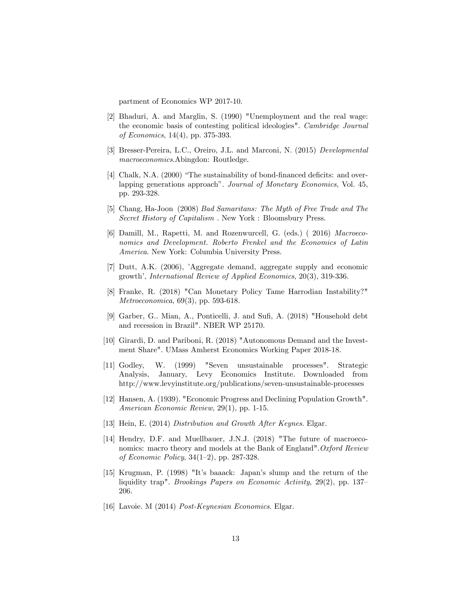partment of Economics WP 2017-10.

- [2] Bhaduri, A. and Marglin, S. (1990) "Unemployment and the real wage: the economic basis of contesting political ideologies". Cambridge Journal of Economics, 14(4), pp. 375-393.
- [3] Bresser-Pereira, L.C., Oreiro, J.L. and Marconi, N. (2015) Developmental macroeconomics.Abingdon: Routledge.
- [4] Chalk, N.A. (2000) "The sustainability of bond-financed deficits: and overlapping generations approach". Journal of Monetary Economics, Vol. 45, pp. 293-328.
- [5] Chang, Ha-Joon (2008) Bad Samaritans: The Myth of Free Trade and The Secret History of Capitalism. New York: Bloomsbury Press.
- [6] Damill, M., Rapetti, M. and Rozenwurcell, G. (eds.) (2016) Macroeconomics and Development. Roberto Frenkel and the Economics of Latin *America.* New York: Columbia University Press.
- [7] Dutt, A.K. (2006), 'Aggregate demand, aggregate supply and economic growth', International Review of Applied Economics, 20(3), 319-336.
- [8] Franke, R. (2018) "Can Monetary Policy Tame Harrodian Instability?" Metroeconomica, 69(3), pp. 593-618.
- [9] Garber, G., Mian, A., Ponticelli, J. and Sufi, A. (2018) "Household debt and recession in Brazil". NBER WP 25170.
- [10] Girardi, D. and Pariboni, R. (2018) "Autonomous Demand and the Investment Share". UMass Amherst Economics Working Paper 2018-18.
- "Seven unsustainable processes".  $[11]$  Godley, W. (1999) Strategic Analysis, January, Levy Economics Institute. Downloaded from http://www.levyinstitute.org/publications/seven-unsustainable-processes
- [12] Hansen, A. (1939). "Economic Progress and Declining Population Growth". American Economic Review, 29(1), pp. 1-15.
- [13] Hein, E. (2014) Distribution and Growth After Keynes. Elgar.
- [14] Hendry, D.F. and Muellbauer, J.N.J. (2018) "The future of macroeconomics: macro theory and models at the Bank of England". Oxford Review of Economic Policy,  $34(1-2)$ , pp. 287-328.
- [15] Krugman, P. (1998) "It's baaack: Japan's slump and the return of the liquidity trap". *Brookings Papers on Economic Activity*,  $29(2)$ , pp. 137– 206.
- [16] Lavoie. M  $(2014)$  *Post-Keynesian Economics*. Elgar.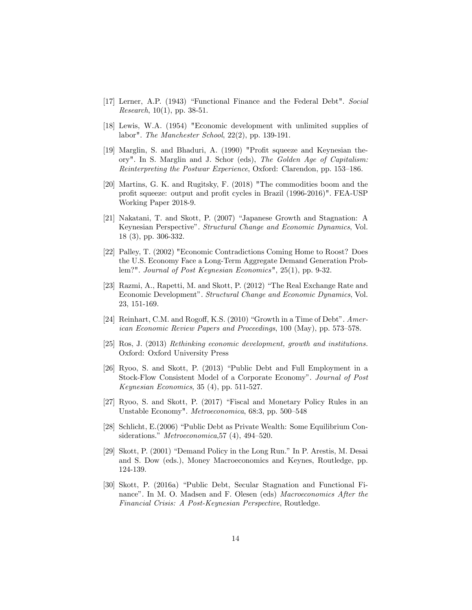- [17] Lerner, A.P. (1943) "Functional Finance and the Federal Debt". Social *Research*,  $10(1)$ , pp. 38-51.
- [18] Lewis, W.A. (1954) "Economic development with unlimited supplies of labor". The Manchester School,  $22(2)$ , pp. 139-191.
- [19] Marglin, S. and Bhaduri, A. (1990) "Profit squeeze and Keynesian theory". In S. Marglin and J. Schor (eds), The Golden Age of Capitalism: Reinterpreting the Postwar Experience, Oxford: Clarendon, pp. 153-186.
- [20] Martins, G. K. and Rugitsky, F. (2018) "The commodities boom and the profit squeeze: output and profit cycles in Brazil (1996-2016)". FEA-USP Working Paper 2018-9.
- [21] Nakatani, T. and Skott, P. (2007) "Japanese Growth and Stagnation: A Keynesian Perspective". Structural Change and Economic Dynamics, Vol. 18 (3), pp. 306-332.
- [22] Palley, T. (2002) "Economic Contradictions Coming Home to Roost? Does the U.S. Economy Face a Long-Term Aggregate Demand Generation Problem?". Journal of Post Keynesian Economics",  $25(1)$ , pp. 9-32.
- [23] Razmi, A., Rapetti, M. and Skott, P. (2012) "The Real Exchange Rate and Economic Development". Structural Change and Economic Dynamics, Vol. 23, 151-169.
- [24] Reinhart, C.M. and Rogoff, K.S.  $(2010)$  "Growth in a Time of Debt". American Economic Review Papers and Proceedings, 100 (May), pp. 573–578.
- [25] Ros, J. (2013) Rethinking economic development, growth and institutions. Oxford: Oxford University Press
- [26] Ryoo, S. and Skott, P. (2013) "Public Debt and Full Employment in a Stock-Flow Consistent Model of a Corporate Economy". Journal of Post *Keynesian Economics*, 35  $(4)$ , pp. 511-527.
- [27] Ryoo, S. and Skott, P. (2017) "Fiscal and Monetary Policy Rules in an Unstable Economy". Metroeconomica, 68:3, pp. 500-548
- [28] Schlicht, E. (2006) "Public Debt as Private Wealth: Some Equilibrium Considerations." Metroeconomica, 57 $(4)$ , 494-520.
- [29] Skott, P. (2001) "Demand Policy in the Long Run." In P. Arestis, M. Desai and S. Dow (eds.), Money Macroeconomics and Keynes, Routledge, pp. 124-139.
- [30] Skott, P. (2016a) "Public Debt, Secular Stagnation and Functional Finance". In M. O. Madsen and F. Olesen (eds) Macroeconomics After the Financial Crisis: A Post-Keynesian Perspective, Routledge.